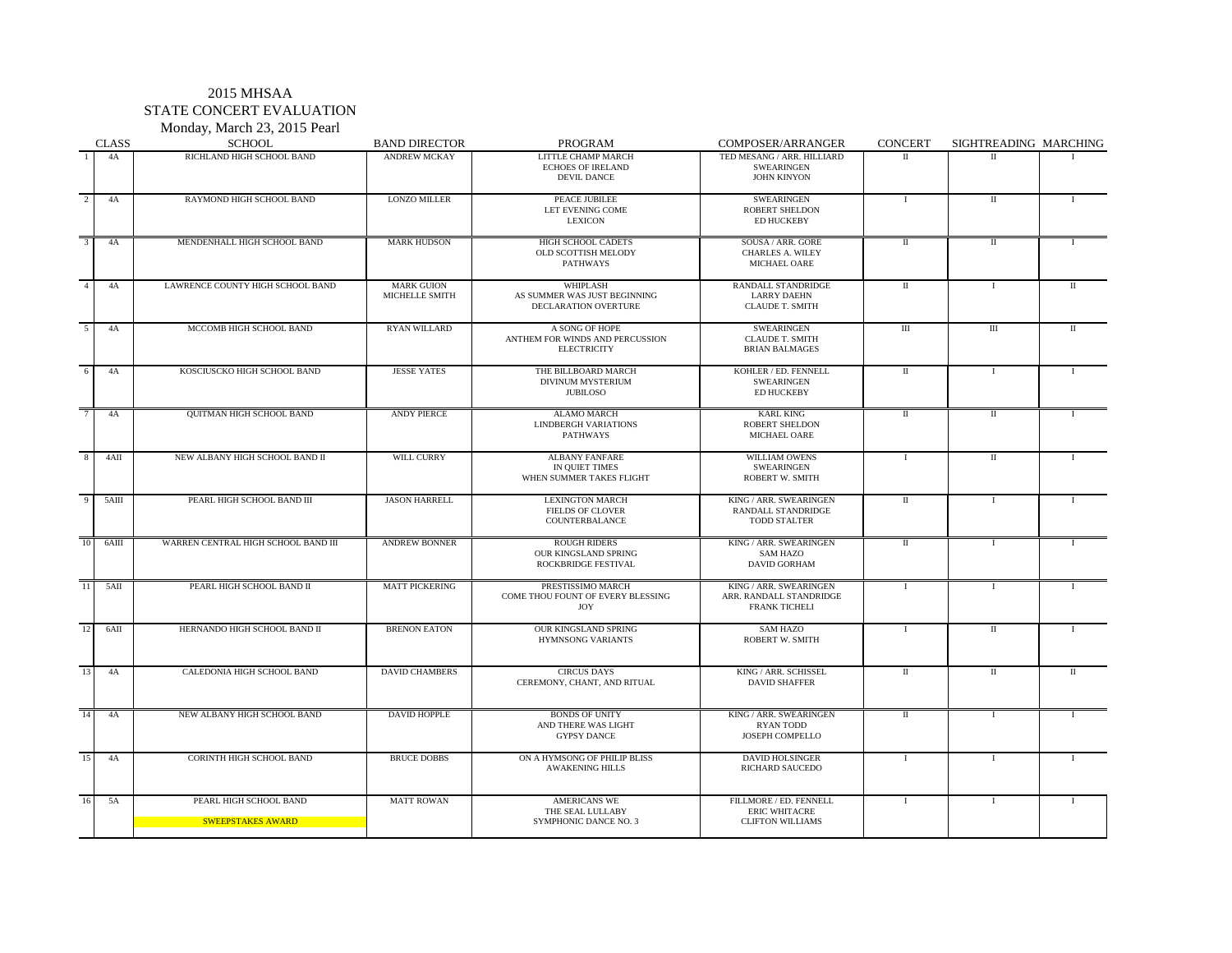# 2015 MHSAA STATE CONCERT EVALUATION

| Monday, March 23, 2015 Pearl |  |  |  |
|------------------------------|--|--|--|
|------------------------------|--|--|--|

|                | <b>CLASS</b>  | <b>SCHOOL</b>                               | <b>BAND DIRECTOR</b>                | <b>PROGRAM</b>                                                              | <b>COMPOSER/ARRANGER</b>                                                  | <b>CONCERT</b> | SIGHTREADING MARCHING |              |
|----------------|---------------|---------------------------------------------|-------------------------------------|-----------------------------------------------------------------------------|---------------------------------------------------------------------------|----------------|-----------------------|--------------|
|                | 4A            | RICHLAND HIGH SCHOOL BAND                   | <b>ANDREW MCKAY</b>                 | <b>LITTLE CHAMP MARCH</b><br><b>ECHOES OF IRELAND</b><br><b>DEVIL DANCE</b> | TED MESANG / ARR. HILLIARD<br><b>SWEARINGEN</b><br><b>JOHN KINYON</b>     | $\mathbf{I}$   | $\rm{II}$             |              |
| 2              | 4A            | RAYMOND HIGH SCHOOL BAND                    | <b>LONZO MILLER</b>                 | PEACE JUBILEE<br>LET EVENING COME<br><b>LEXICON</b>                         | <b>SWEARINGEN</b><br><b>ROBERT SHELDON</b><br><b>ED HUCKEBY</b>           |                |                       |              |
| $\mathfrak{Z}$ | 4A            | MENDENHALL HIGH SCHOOL BAND                 | <b>MARK HUDSON</b>                  | HIGH SCHOOL CADETS<br>OLD SCOTTISH MELODY<br><b>PATHWAYS</b>                | SOUSA / ARR. GORE<br><b>CHARLES A. WILEY</b><br><b>MICHAEL OARE</b>       | $\mathbf{I}$   |                       |              |
| $\overline{A}$ | 4A            | LAWRENCE COUNTY HIGH SCHOOL BAND            | <b>MARK GUION</b><br>MICHELLE SMITH | WHIPLASH<br>AS SUMMER WAS JUST BEGINNING<br>DECLARATION OVERTURE            | RANDALL STANDRIDGE<br><b>LARRY DAEHN</b><br><b>CLAUDE T. SMITH</b>        | $\mathbf{I}$   |                       |              |
| $\overline{5}$ | 4A            | MCCOMB HIGH SCHOOL BAND                     | <b>RYAN WILLARD</b>                 | A SONG OF HOPE<br>ANTHEM FOR WINDS AND PERCUSSION<br><b>ELECTRICITY</b>     | <b>SWEARINGEN</b><br><b>CLAUDE T. SMITH</b><br><b>BRIAN BALMAGES</b>      | $\rm III$      | III                   |              |
| 6              | 4A            | KOSCIUSCKO HIGH SCHOOL BAND                 | <b>JESSE YATES</b>                  | THE BILLBOARD MARCH<br>DIVINUM MYSTERIUM<br><b>JUBILOSO</b>                 | KOHLER / ED. FENNELL<br><b>SWEARINGEN</b><br><b>ED HUCKEBY</b>            | $\mathbf{I}$   |                       |              |
| -7             | 4A            | QUITMAN HIGH SCHOOL BAND                    | <b>ANDY PIERCE</b>                  | <b>ALAMO MARCH</b><br><b>LINDBERGH VARIATIONS</b><br>PATHWAYS               | <b>KARL KING</b><br><b>ROBERT SHELDON</b><br><b>MICHAEL OARE</b>          | $\mathbf{I}$   | $\Pi$                 |              |
| $Q \mid$       | $4\text{AII}$ | NEW ALBANY HIGH SCHOOL BAND II              | WILL CURRY                          | <b>ALBANY FANFARE</b><br>IN QUIET TIMES<br>WHEN SUMMER TAKES FLIGHT         | WILLIAM OWENS<br><b>SWEARINGEN</b><br><b>ROBERT W. SMITH</b>              | $\mathbf{I}$   | $\mathbf{I}$          | $\mathbf{I}$ |
| -9             | 5AIII         | PEARL HIGH SCHOOL BAND III                  | <b>JASON HARRELL</b>                | <b>LEXINGTON MARCH</b><br><b>FIELDS OF CLOVER</b><br>COUNTERBALANCE         | KING / ARR. SWEARINGEN<br>RANDALL STANDRIDGE<br><b>TODD STALTER</b>       | $\rm{II}$      |                       |              |
| 10             | 6AIII         | WARREN CENTRAL HIGH SCHOOL BAND III         | <b>ANDREW BONNER</b>                | <b>ROUGH RIDERS</b><br><b>OUR KINGSLAND SPRING</b><br>ROCKBRIDGE FESTIVAL   | KING / ARR. SWEARINGEN<br>SAM HAZO<br><b>DAVID GORHAM</b>                 | $\mathbf{I}$   |                       |              |
| 11             | $5\text{AII}$ | PEARL HIGH SCHOOL BAND II                   | <b>MATT PICKERING</b>               | PRESTISSIMO MARCH<br>COME THOU FOUNT OF EVERY BLESSING<br><b>JOY</b>        | KING / ARR. SWEARINGEN<br>ARR. RANDALL STANDRIDGE<br><b>FRANK TICHELI</b> |                |                       |              |
| 12             | 6AII          | HERNANDO HIGH SCHOOL BAND II                | <b>BRENON EATON</b>                 | OUR KINGSLAND SPRING<br><b>HYMNSONG VARIANTS</b>                            | <b>SAM HAZO</b><br><b>ROBERT W. SMITH</b>                                 |                |                       |              |
| 13             | 4A            | CALEDONIA HIGH SCHOOL BAND                  | <b>DAVID CHAMBERS</b>               | <b>CIRCUS DAYS</b><br>CEREMONY, CHANT, AND RITUAL                           | KING / ARR. SCHISSEL<br><b>DAVID SHAFFER</b>                              | $\mathbf{I}$   | $\mathbf{I}$          |              |
| 14             | 4A            | NEW ALBANY HIGH SCHOOL BAND                 | <b>DAVID HOPPLE</b>                 | <b>BONDS OF UNITY</b><br>AND THERE WAS LIGHT<br><b>GYPSY DANCE</b>          | KING / ARR. SWEARINGEN<br><b>RYAN TODD</b><br><b>JOSEPH COMPELLO</b>      | $\mathbf{I}$   |                       |              |
| 15             | 4A            | <b>CORINTH HIGH SCHOOL BAND</b>             | <b>BRUCE DOBBS</b>                  | ON A HYMSONG OF PHILIP BLISS<br><b>AWAKENING HILLS</b>                      | <b>DAVID HOLSINGER</b><br><b>RICHARD SAUCEDO</b>                          |                |                       |              |
| 16             | 5A            | PEARL HIGH SCHOOL BAND<br>SWEEPSTAKES AWARD | <b>MATT ROWAN</b>                   | <b>AMERICANS WE</b><br>THE SEAL LULLABY<br><b>SYMPHONIC DANCE NO. 3</b>     | FILLMORE / ED. FENNELL<br><b>ERIC WHITACRE</b><br><b>CLIFTON WILLIAMS</b> |                |                       |              |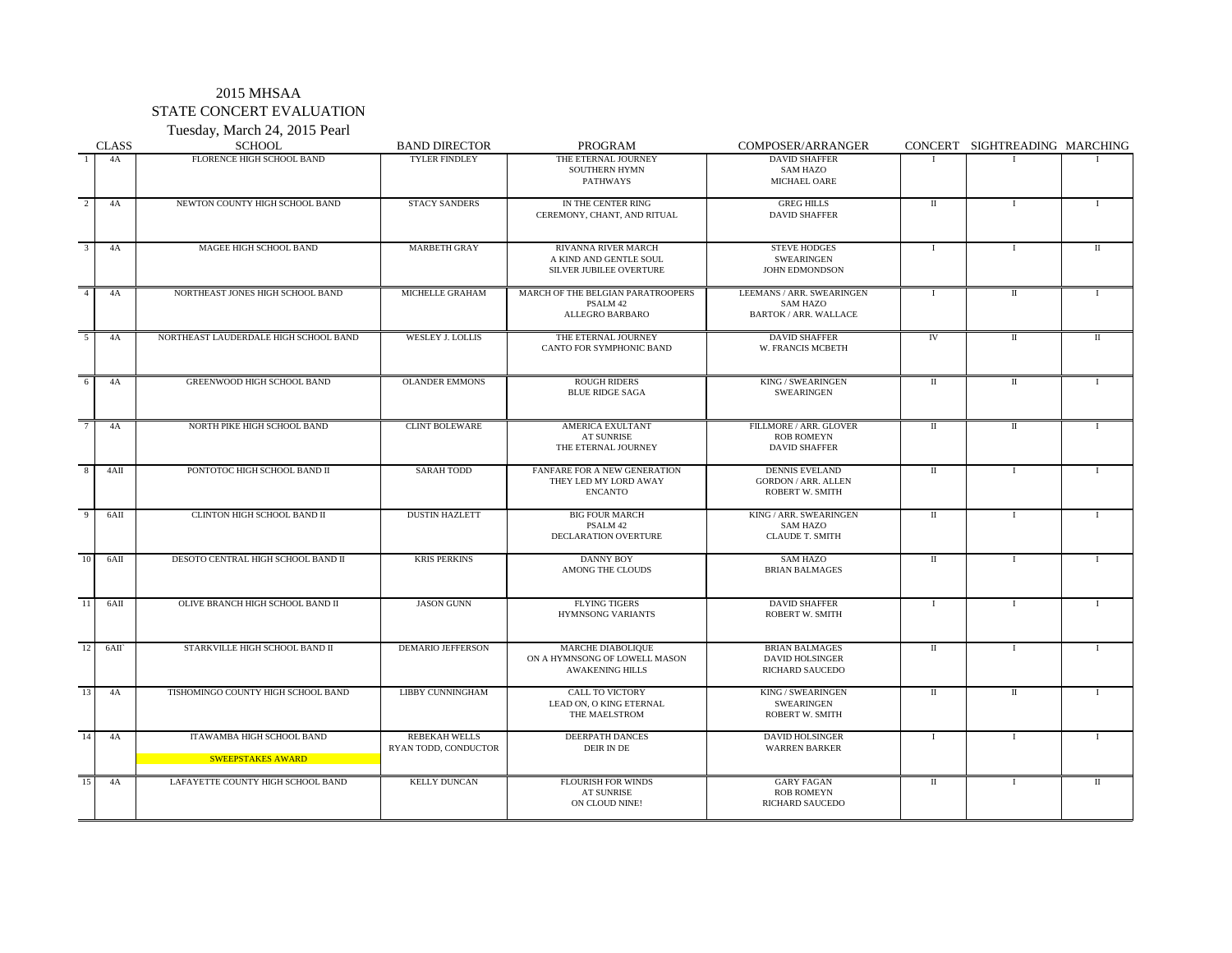### 2015 MHSAA STATE CONCERT EVALUATION Tuesday, March 24, 2015 Pearl

|    | <b>CLASS</b> | $10080a$ y, ividich $27, 2010$ I call<br><b>SCHOOL</b>       | <b>BAND DIRECTOR</b>                         | <b>PROGRAM</b>                                                                         | COMPOSER/ARRANGER                                                             |              | CONCERT SIGHTREADING MARCHING |              |
|----|--------------|--------------------------------------------------------------|----------------------------------------------|----------------------------------------------------------------------------------------|-------------------------------------------------------------------------------|--------------|-------------------------------|--------------|
|    | 4A           | FLORENCE HIGH SCHOOL BAND                                    | <b>TYLER FINDLEY</b>                         | THE ETERNAL JOURNEY<br><b>SOUTHERN HYMN</b><br><b>PATHWAYS</b>                         | <b>DAVID SHAFFER</b><br><b>SAM HAZO</b><br>MICHAEL OARE                       |              |                               |              |
|    | 4Α           | NEWTON COUNTY HIGH SCHOOL BAND                               | <b>STACY SANDERS</b>                         | IN THE CENTER RING<br>CEREMONY, CHANT, AND RITUAL                                      | <b>GREG HILLS</b><br><b>DAVID SHAFFER</b>                                     | $\mathbf{I}$ |                               |              |
|    | 4A           | MAGEE HIGH SCHOOL BAND                                       | <b>MARBETH GRAY</b>                          | <b>RIVANNA RIVER MARCH</b><br>A KIND AND GENTLE SOUL<br><b>SILVER JUBILEE OVERTURE</b> | <b>STEVE HODGES</b><br><b>SWEARINGEN</b><br><b>JOHN EDMONDSON</b>             |              |                               | $\mathbf{H}$ |
|    | 4A           | NORTHEAST JONES HIGH SCHOOL BAND                             | MICHELLE GRAHAM                              | MARCH OF THE BELGIAN PARATROOPERS<br>PSALM 42<br><b>ALLEGRO BARBARO</b>                | LEEMANS / ARR. SWEARINGEN<br><b>SAM HAZO</b><br><b>BARTOK / ARR. WALLACE</b>  |              | $\mathbf{I}$                  |              |
|    | 4A           | NORTHEAST LAUDERDALE HIGH SCHOOL BAND                        | <b>WESLEY J. LOLLIS</b>                      | THE ETERNAL JOURNEY<br><b>CANTO FOR SYMPHONIC BAND</b>                                 | <b>DAVID SHAFFER</b><br>W. FRANCIS MCBETH                                     | IV           | $\mathbf{I}$                  |              |
|    | 4A           | <b>GREENWOOD HIGH SCHOOL BAND</b>                            | <b>OLANDER EMMONS</b>                        | <b>ROUGH RIDERS</b><br><b>BLUE RIDGE SAGA</b>                                          | KING / SWEARINGEN<br><b>SWEARINGEN</b>                                        | $\mathbf{I}$ | $\mathbf{I}$                  |              |
|    | 4A           | NORTH PIKE HIGH SCHOOL BAND                                  | <b>CLINT BOLEWARE</b>                        | <b>AMERICA EXULTANT</b><br><b>AT SUNRISE</b><br>THE ETERNAL JOURNEY                    | FILLMORE / ARR. GLOVER<br><b>ROB ROMEYN</b><br><b>DAVID SHAFFER</b>           | $\mathbf{I}$ | $\mathbf{I}$                  |              |
|    | 4AII         | PONTOTOC HIGH SCHOOL BAND II                                 | <b>SARAH TODD</b>                            | FANFARE FOR A NEW GENERATION<br>THEY LED MY LORD AWAY<br><b>ENCANTO</b>                | <b>DENNIS EVELAND</b><br><b>GORDON / ARR. ALLEN</b><br><b>ROBERT W. SMITH</b> | $\mathbf{I}$ |                               |              |
|    | 6AII         | <b>CLINTON HIGH SCHOOL BAND II</b>                           | <b>DUSTIN HAZLETT</b>                        | <b>BIG FOUR MARCH</b><br>PSALM 42<br>DECLARATION OVERTURE                              | KING / ARR. SWEARINGEN<br><b>SAM HAZO</b><br><b>CLAUDE T. SMITH</b>           | $\mathbf{I}$ |                               |              |
| 10 | 6AII         | DESOTO CENTRAL HIGH SCHOOL BAND II                           | <b>KRIS PERKINS</b>                          | <b>DANNY BOY</b><br>AMONG THE CLOUDS                                                   | <b>SAM HAZO</b><br><b>BRIAN BALMAGES</b>                                      | $\mathbf{I}$ |                               |              |
|    | 6AII         | OLIVE BRANCH HIGH SCHOOL BAND II                             | <b>JASON GUNN</b>                            | <b>FLYING TIGERS</b><br><b>HYMNSONG VARIANTS</b>                                       | <b>DAVID SHAFFER</b><br><b>ROBERT W. SMITH</b>                                |              |                               |              |
|    | $6$ AII      | STARKVILLE HIGH SCHOOL BAND II                               | <b>DEMARIO JEFFERSON</b>                     | MARCHE DIABOLIQUE<br>ON A HYMNSONG OF LOWELL MASON<br><b>AWAKENING HILLS</b>           | <b>BRIAN BALMAGES</b><br><b>DAVID HOLSINGER</b><br><b>RICHARD SAUCEDO</b>     | $\mathbf{I}$ |                               |              |
| 13 | 4A           | TISHOMINGO COUNTY HIGH SCHOOL BAND                           | <b>LIBBY CUNNINGHAM</b>                      | <b>CALL TO VICTORY</b><br>LEAD ON, O KING ETERNAL<br>THE MAELSTROM                     | KING / SWEARINGEN<br><b>SWEARINGEN</b><br><b>ROBERT W. SMITH</b>              | $\mathbf{I}$ | $\mathbf{I}$                  |              |
|    | 4A           | <b>ITAWAMBA HIGH SCHOOL BAND</b><br><b>SWEEPSTAKES AWARD</b> | <b>REBEKAH WELLS</b><br>RYAN TODD, CONDUCTOR | <b>DEERPATH DANCES</b><br>DEIR IN DE                                                   | <b>DAVID HOLSINGER</b><br><b>WARREN BARKER</b>                                |              |                               |              |
| 15 | 4A           | LAFAYETTE COUNTY HIGH SCHOOL BAND                            | <b>KELLY DUNCAN</b>                          | <b>FLOURISH FOR WINDS</b><br>AT SUNRISE<br>ON CLOUD NINE!                              | <b>GARY FAGAN</b><br><b>ROB ROMEYN</b><br><b>RICHARD SAUCEDO</b>              | $\mathbf{I}$ |                               |              |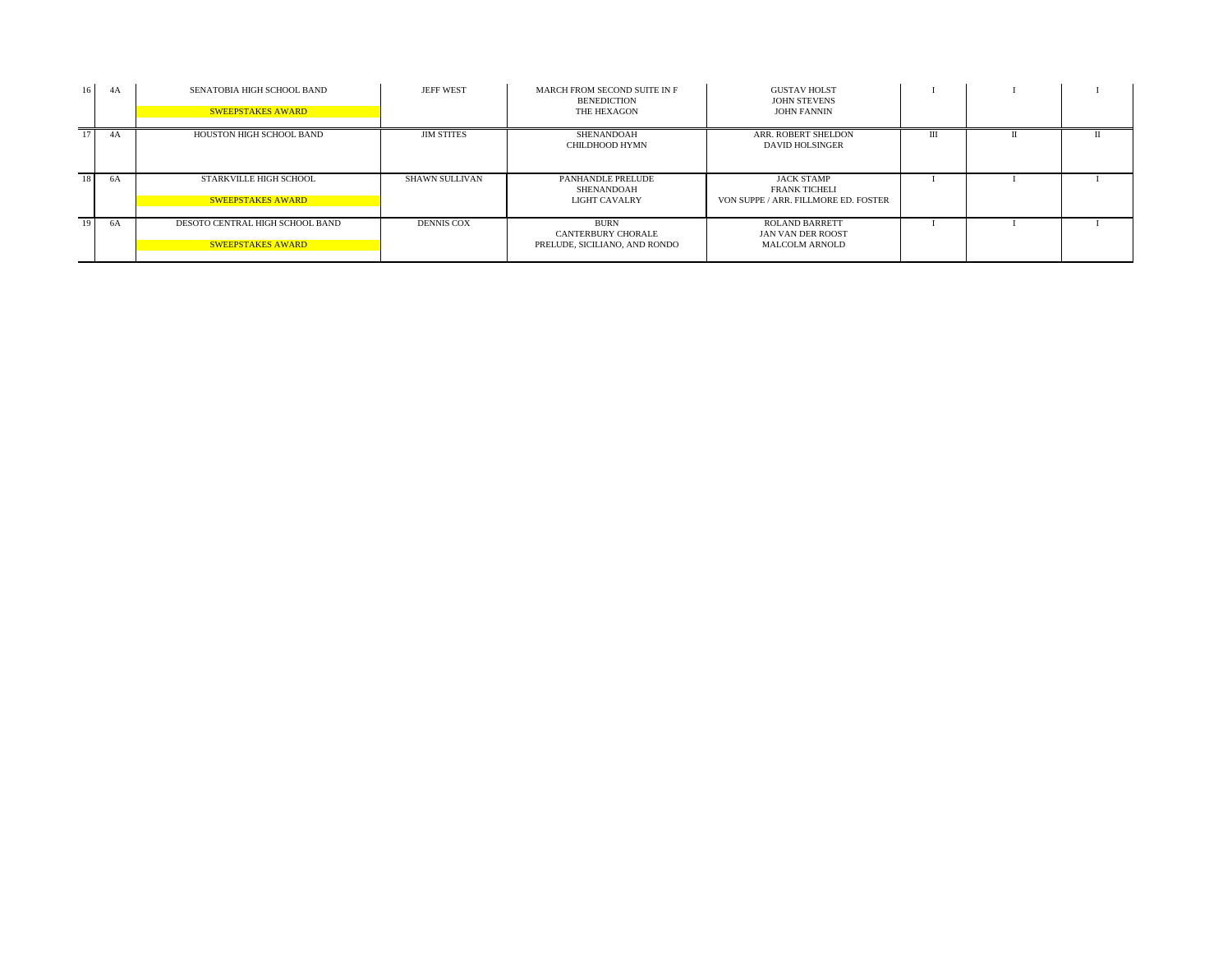| 16 | 4A | SENATOBIA HIGH SCHOOL BAND<br><b>SWEEPSTAKES AWARD</b>      | <b>JEFF WEST</b>  | MARCH FROM SECOND SUITE IN F<br><b>BENEDICTION</b><br>THE HEXAGON         | <b>GUSTAV HOLST</b><br><b>JOHN STEVENS</b><br><b>JOHN FANNIN</b>                  |   |  |
|----|----|-------------------------------------------------------------|-------------------|---------------------------------------------------------------------------|-----------------------------------------------------------------------------------|---|--|
| 17 | 4A | HOUSTON HIGH SCHOOL BAND                                    | <b>JIM STITES</b> | SHENANDOAH<br><b>CHILDHOOD HYMN</b>                                       | ARR. ROBERT SHELDON<br>DAVID HOLSINGER                                            | Ш |  |
| 18 | 6A | <b>STARKVILLE HIGH SCHOOL</b><br><b>SWEEPSTAKES AWARD</b>   | SHAWN SULLIVAN    | PANHANDLE PRELUDE<br>SHENANDOAH<br><b>LIGHT CAVALRY</b>                   | <b>JACK STAMP</b><br><b>FRANK TICHELI</b><br>VON SUPPE / ARR. FILLMORE ED. FOSTER |   |  |
| 19 | 6A | DESOTO CENTRAL HIGH SCHOOL BAND<br><b>SWEEPSTAKES AWARD</b> | <b>DENNIS COX</b> | <b>BURN</b><br><b>CANTERBURY CHORALE</b><br>PRELUDE, SICILIANO, AND RONDO | <b>ROLAND BARRETT</b><br>JAN VAN DER ROOST<br><b>MALCOLM ARNOLD</b>               |   |  |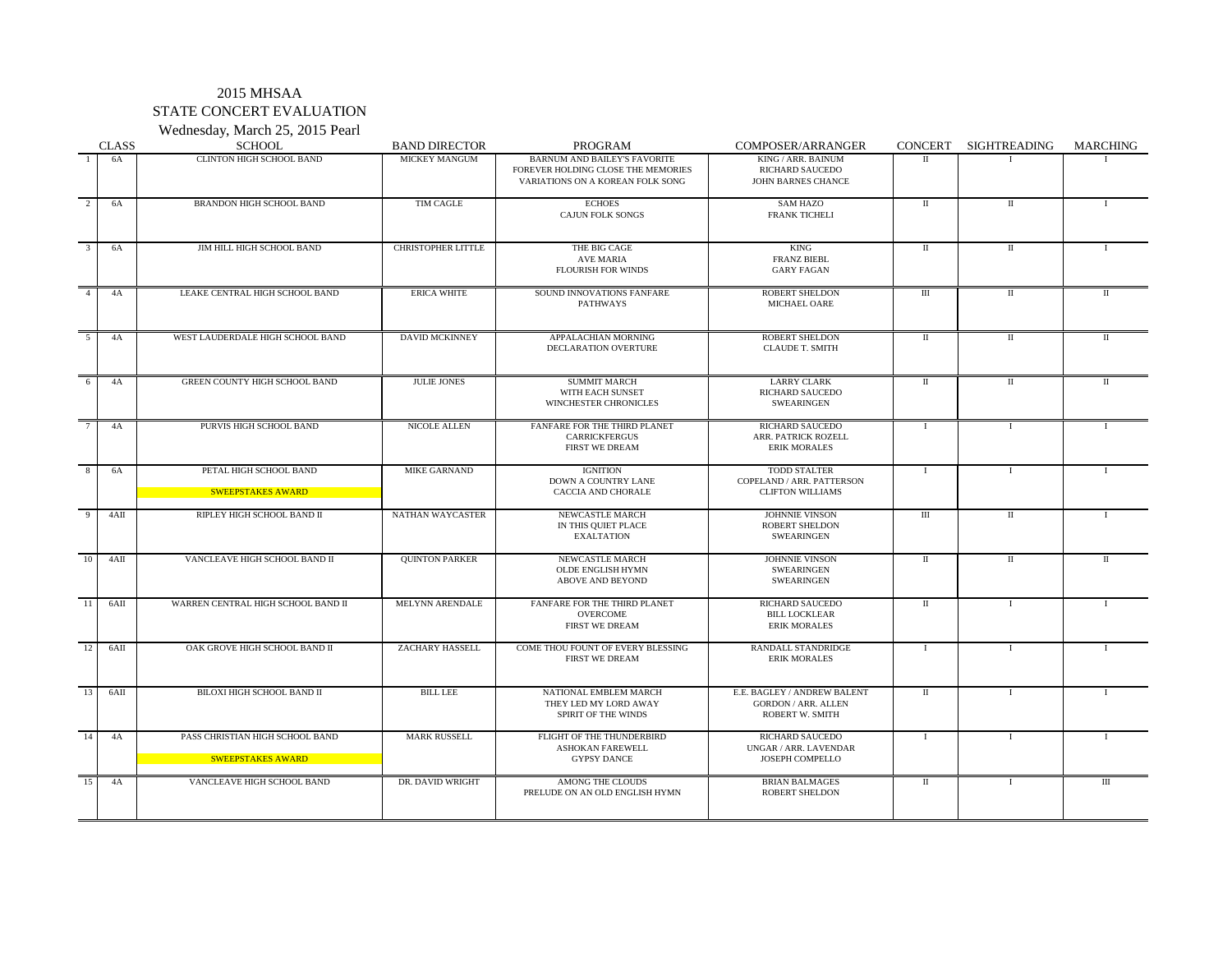### 2015 MHSAA STATE CONCERT EVALUATION Wednesday, March 25, 2015 Pearl

|                | <b>CLASS</b> | <b>SCHOOL</b>                                               | <b>BAND DIRECTOR</b>      | PROGRAM                                                                                                       | COMPOSER/ARRANGER                                                                   | <b>CONCERT</b> | SIGHTREADING | <b>MARCHING</b> |
|----------------|--------------|-------------------------------------------------------------|---------------------------|---------------------------------------------------------------------------------------------------------------|-------------------------------------------------------------------------------------|----------------|--------------|-----------------|
|                | 6A           | <b>CLINTON HIGH SCHOOL BAND</b>                             | <b>MICKEY MANGUM</b>      | <b>BARNUM AND BAILEY'S FAVORITE</b><br>FOREVER HOLDING CLOSE THE MEMORIES<br>VARIATIONS ON A KOREAN FOLK SONG | KING / ARR. BAINUM<br><b>RICHARD SAUCEDO</b><br><b>JOHN BARNES CHANCE</b>           | $\mathbf{H}$   |              |                 |
| 2              | 6A           | <b>BRANDON HIGH SCHOOL BAND</b>                             | <b>TIM CAGLE</b>          | <b>ECHOES</b><br><b>CAJUN FOLK SONGS</b>                                                                      | <b>SAM HAZO</b><br><b>FRANK TICHELI</b>                                             | $\mathbf{I}$   |              |                 |
| $\overline{3}$ | 6A           | JIM HILL HIGH SCHOOL BAND                                   | <b>CHRISTOPHER LITTLE</b> | THE BIG CAGE<br><b>AVE MARIA</b><br><b>FLOURISH FOR WINDS</b>                                                 | <b>KING</b><br><b>FRANZ BIEBL</b><br><b>GARY FAGAN</b>                              | $\mathbf{I}$   |              |                 |
| $\overline{4}$ | 4A           | LEAKE CENTRAL HIGH SCHOOL BAND                              | <b>ERICA WHITE</b>        | SOUND INNOVATIONS FANFARE<br><b>PATHWAYS</b>                                                                  | <b>ROBERT SHELDON</b><br><b>MICHAEL OARE</b>                                        | III            |              |                 |
| 5 <sup>5</sup> | 4A           | WEST LAUDERDALE HIGH SCHOOL BAND                            | <b>DAVID MCKINNEY</b>     | APPALACHIAN MORNING<br>DECLARATION OVERTURE                                                                   | <b>ROBERT SHELDON</b><br><b>CLAUDE T. SMITH</b>                                     | $\mathbf{H}$   | $\mathbf{I}$ | $\mathbf{I}$    |
|                | 4A           | <b>GREEN COUNTY HIGH SCHOOL BAND</b>                        | <b>JULIE JONES</b>        | <b>SUMMIT MARCH</b><br>WITH EACH SUNSET<br><b>WINCHESTER CHRONICLES</b>                                       | <b>LARRY CLARK</b><br><b>RICHARD SAUCEDO</b><br><b>SWEARINGEN</b>                   | $\mathbf{I}$   |              | $\mathbf{I}$    |
|                | 4A           | PURVIS HIGH SCHOOL BAND                                     | <b>NICOLE ALLEN</b>       | FANFARE FOR THE THIRD PLANET<br><b>CARRICKFERGUS</b><br><b>FIRST WE DREAM</b>                                 | <b>RICHARD SAUCEDO</b><br>ARR. PATRICK ROZELL<br><b>ERIK MORALES</b>                |                |              |                 |
| 8              | 6A           | PETAL HIGH SCHOOL BAND<br>SWEEPSTAKES AWARD                 | <b>MIKE GARNAND</b>       | <b>IGNITION</b><br><b>DOWN A COUNTRY LANE</b><br><b>CACCIA AND CHORALE</b>                                    | <b>TODD STALTER</b><br>COPELAND / ARR. PATTERSON<br><b>CLIFTON WILLIAMS</b>         |                |              |                 |
| -9             | 4AII         | RIPLEY HIGH SCHOOL BAND II                                  | <b>NATHAN WAYCASTER</b>   | NEWCASTLE MARCH<br>IN THIS QUIET PLACE<br><b>EXALTATION</b>                                                   | <b>JOHNNIE VINSON</b><br><b>ROBERT SHELDON</b><br><b>SWEARINGEN</b>                 | $\mathbf{III}$ |              |                 |
| 10             | 4AII         | VANCLEAVE HIGH SCHOOL BAND II                               | <b>QUINTON PARKER</b>     | NEWCASTLE MARCH<br><b>OLDE ENGLISH HYMN</b><br><b>ABOVE AND BEYOND</b>                                        | <b>JOHNNIE VINSON</b><br><b>SWEARINGEN</b><br><b>SWEARINGEN</b>                     | $\mathbf{H}$   |              | $\mathbf{H}$    |
| <sup>11</sup>  | 6AII         | WARREN CENTRAL HIGH SCHOOL BAND II                          | MELYNN ARENDALE           | FANFARE FOR THE THIRD PLANET<br>OVERCOME<br><b>FIRST WE DREAM</b>                                             | <b>RICHARD SAUCEDO</b><br><b>BILL LOCKLEAR</b><br><b>ERIK MORALES</b>               | $\Pi$          |              |                 |
| 12             | 6AII         | OAK GROVE HIGH SCHOOL BAND II                               | <b>ZACHARY HASSELL</b>    | COME THOU FOUNT OF EVERY BLESSING<br><b>FIRST WE DREAM</b>                                                    | <b>RANDALL STANDRIDGE</b><br><b>ERIK MORALES</b>                                    |                |              |                 |
| 13             | 6AII         | <b>BILOXI HIGH SCHOOL BAND II</b>                           | <b>BILL LEE</b>           | NATIONAL EMBLEM MARCH<br>THEY LED MY LORD AWAY<br>SPIRIT OF THE WINDS                                         | E.E. BAGLEY / ANDREW BALENT<br><b>GORDON / ARR. ALLEN</b><br><b>ROBERT W. SMITH</b> | $\mathbf{I}$   |              |                 |
| 14             | 4A           | PASS CHRISTIAN HIGH SCHOOL BAND<br><b>SWEEPSTAKES AWARD</b> | <b>MARK RUSSELL</b>       | FLIGHT OF THE THUNDERBIRD<br><b>ASHOKAN FAREWELL</b><br><b>GYPSY DANCE</b>                                    | <b>RICHARD SAUCEDO</b><br>UNGAR / ARR. LAVENDAR<br><b>JOSEPH COMPELLO</b>           |                |              |                 |
| 15             | 4A           | VANCLEAVE HIGH SCHOOL BAND                                  | DR. DAVID WRIGHT          | AMONG THE CLOUDS<br>PRELUDE ON AN OLD ENGLISH HYMN                                                            | <b>BRIAN BALMAGES</b><br><b>ROBERT SHELDON</b>                                      | $\mathbf{I}$   |              | Ш               |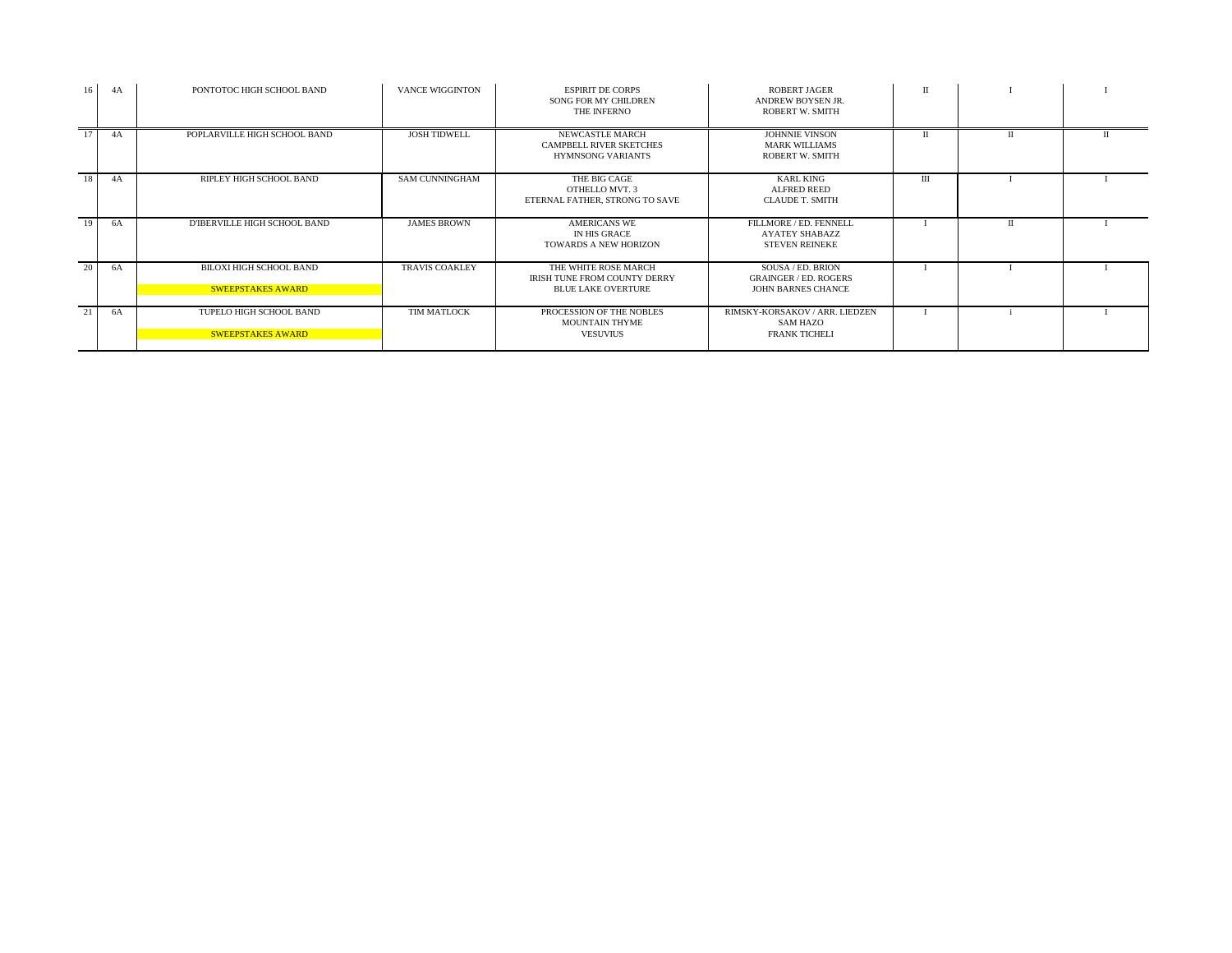| 16 <sup>1</sup> | 4A | PONTOTOC HIGH SCHOOL BAND                                  | <b>VANCE WIGGINTON</b> | <b>ESPIRIT DE CORPS</b><br><b>SONG FOR MY CHILDREN</b><br>THE INFERNO             | <b>ROBERT JAGER</b><br>ANDREW BOYSEN JR.<br>ROBERT W. SMITH                    |     |  |
|-----------------|----|------------------------------------------------------------|------------------------|-----------------------------------------------------------------------------------|--------------------------------------------------------------------------------|-----|--|
| 17              | 4A | POPLARVILLE HIGH SCHOOL BAND                               | <b>JOSH TIDWELL</b>    | NEWCASTLE MARCH<br><b>CAMPBELL RIVER SKETCHES</b><br><b>HYMNSONG VARIANTS</b>     | <b>JOHNNIE VINSON</b><br><b>MARK WILLIAMS</b><br><b>ROBERT W. SMITH</b>        |     |  |
| 18              | 4A | RIPLEY HIGH SCHOOL BAND                                    | <b>SAM CUNNINGHAM</b>  | THE BIG CAGE<br>OTHELLO MVT. 3<br>ETERNAL FATHER, STRONG TO SAVE                  | <b>KARL KING</b><br><b>ALFRED REED</b><br><b>CLAUDE T. SMITH</b>               | III |  |
| 19              | 6A | D'IBERVILLE HIGH SCHOOL BAND                               | <b>JAMES BROWN</b>     | <b>AMERICANS WE</b><br>IN HIS GRACE<br><b>TOWARDS A NEW HORIZON</b>               | FILLMORE / ED. FENNELL<br>AYATEY SHABAZZ<br><b>STEVEN REINEKE</b>              |     |  |
| 20              | 6A | <b>BILOXI HIGH SCHOOL BAND</b><br><b>SWEEPSTAKES AWARD</b> | <b>TRAVIS COAKLEY</b>  | THE WHITE ROSE MARCH<br>IRISH TUNE FROM COUNTY DERRY<br><b>BLUE LAKE OVERTURE</b> | SOUSA / ED. BRION<br><b>GRAINGER / ED. ROGERS</b><br><b>JOHN BARNES CHANCE</b> |     |  |
| 21              | 6A | TUPELO HIGH SCHOOL BAND<br><b>SWEEPSTAKES AWARD</b>        | TIM MATLOCK            | PROCESSION OF THE NOBLES<br>MOUNTAIN THYME<br><b>VESUVIUS</b>                     | RIMSKY-KORSAKOV / ARR. LIEDZEN<br><b>SAM HAZO</b><br><b>FRANK TICHELI</b>      |     |  |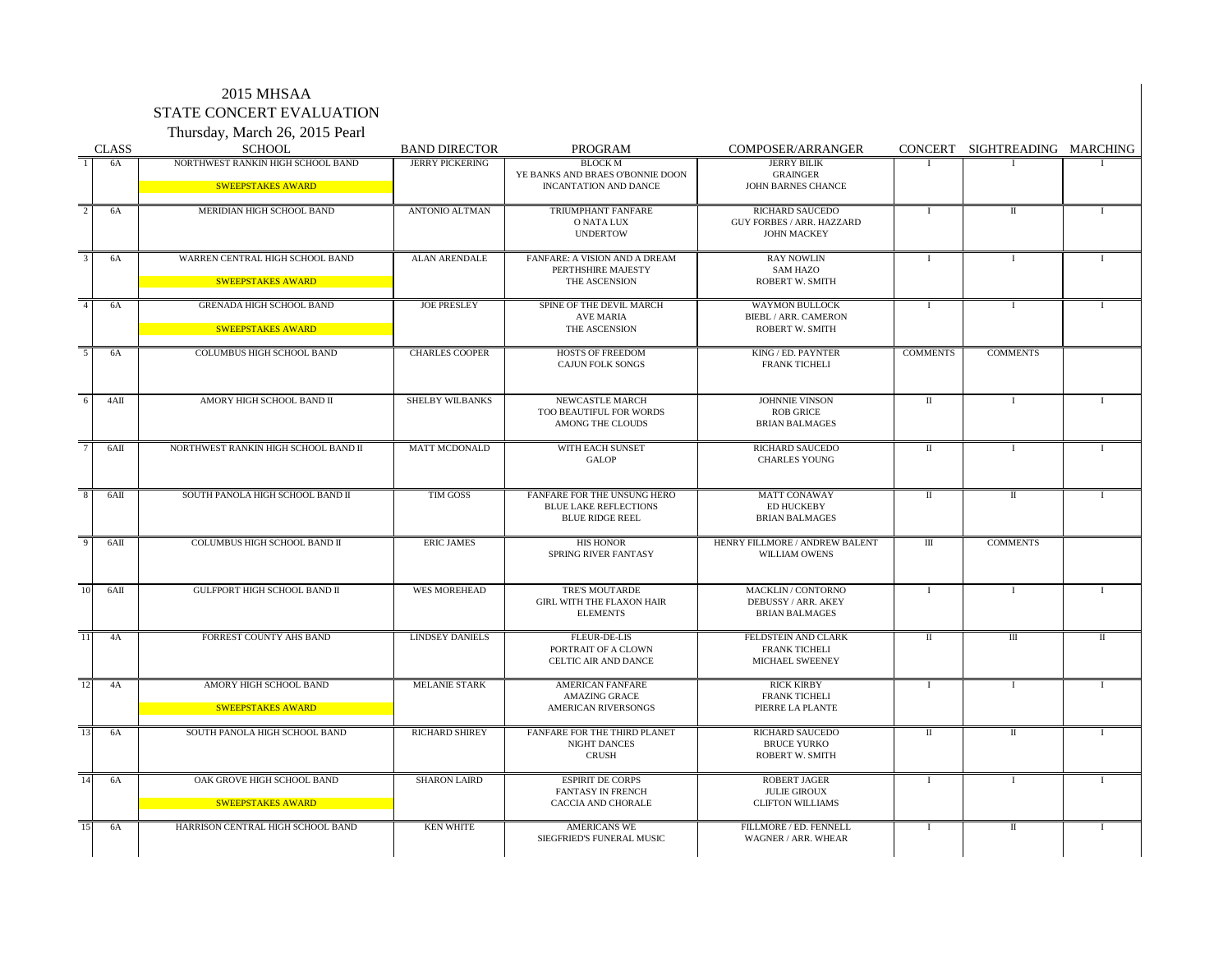#### 2015 MHSAA STATE CONCERT EVALUATION Thursday, March 26, 2015 Pearl

|                       | Thursday, March 20, 2015 Pearl                              |                                                |                                                                                              |                                                                                  |                 |                               |              |
|-----------------------|-------------------------------------------------------------|------------------------------------------------|----------------------------------------------------------------------------------------------|----------------------------------------------------------------------------------|-----------------|-------------------------------|--------------|
| <b>CLASS</b><br>6A    | <b>SCHOOL</b><br>NORTHWEST RANKIN HIGH SCHOOL BAND          | <b>BAND DIRECTOR</b><br><b>JERRY PICKERING</b> | PROGRAM<br><b>BLOCK M</b>                                                                    | COMPOSER/ARRANGER<br><b>JERRY BILIK</b>                                          |                 | CONCERT SIGHTREADING MARCHING |              |
|                       | SWEEPSTAKES AWARD                                           |                                                | YE BANKS AND BRAES O'BONNIE DOON<br><b>INCANTATION AND DANCE</b>                             | <b>GRAINGER</b><br><b>JOHN BARNES CHANCE</b>                                     |                 |                               |              |
| 6A                    | MERIDIAN HIGH SCHOOL BAND                                   | <b>ANTONIO ALTMAN</b>                          | TRIUMPHANT FANFARE<br>O NATA LUX<br><b>UNDERTOW</b>                                          | <b>RICHARD SAUCEDO</b><br><b>GUY FORBES / ARR. HAZZARD</b><br><b>JOHN MACKEY</b> |                 |                               |              |
| 6A                    | WARREN CENTRAL HIGH SCHOOL BAND<br><b>SWEEPSTAKES AWARD</b> | <b>ALAN ARENDALE</b>                           | FANFARE: A VISION AND A DREAM<br>PERTHSHIRE MAJESTY<br>THE ASCENSION                         | <b>RAY NOWLIN</b><br><b>SAM HAZO</b><br><b>ROBERT W. SMITH</b>                   |                 |                               |              |
| 6A                    | <b>GRENADA HIGH SCHOOL BAND</b><br><b>SWEEPSTAKES AWARD</b> | <b>JOE PRESLEY</b>                             | SPINE OF THE DEVIL MARCH<br>AVE MARIA<br>THE ASCENSION                                       | <b>WAYMON BULLOCK</b><br><b>BIEBL / ARR. CAMERON</b><br><b>ROBERT W. SMITH</b>   |                 |                               |              |
| 6A                    | <b>COLUMBUS HIGH SCHOOL BAND</b>                            | <b>CHARLES COOPER</b>                          | <b>HOSTS OF FREEDOM</b><br><b>CAJUN FOLK SONGS</b>                                           | KING / ED. PAYNTER<br><b>FRANK TICHELI</b>                                       | <b>COMMENTS</b> | <b>COMMENTS</b>               |              |
| $4{\rm AH}$           | AMORY HIGH SCHOOL BAND II                                   | <b>SHELBY WILBANKS</b>                         | NEWCASTLE MARCH<br>TOO BEAUTIFUL FOR WORDS<br><b>AMONG THE CLOUDS</b>                        | <b>JOHNNIE VINSON</b><br><b>ROB GRICE</b><br><b>BRIAN BALMAGES</b>               |                 |                               |              |
| 6AII                  | NORTHWEST RANKIN HIGH SCHOOL BAND II                        | <b>MATT MCDONALD</b>                           | WITH EACH SUNSET<br><b>GALOP</b>                                                             | <b>RICHARD SAUCEDO</b><br><b>CHARLES YOUNG</b>                                   |                 |                               |              |
| 6AII                  | SOUTH PANOLA HIGH SCHOOL BAND II                            | TIM GOSS                                       | <b>FANFARE FOR THE UNSUNG HERO</b><br><b>BLUE LAKE REFLECTIONS</b><br><b>BLUE RIDGE REEL</b> | <b>MATT CONAWAY</b><br><b>ED HUCKEBY</b><br><b>BRIAN BALMAGES</b>                | $\mathbf{H}$    | $\mathbf H$                   |              |
| 6AII                  | <b>COLUMBUS HIGH SCHOOL BAND II</b>                         | <b>ERIC JAMES</b>                              | <b>HIS HONOR</b><br>SPRING RIVER FANTASY                                                     | HENRY FILLMORE / ANDREW BALENT<br><b>WILLIAM OWENS</b>                           | $\mathbf{m}$    | <b>COMMENTS</b>               |              |
| 6AII                  | <b>GULFPORT HIGH SCHOOL BAND II</b>                         | <b>WES MOREHEAD</b>                            | TRE'S MOUTARDE<br><b>GIRL WITH THE FLAXON HAIR</b><br><b>ELEMENTS</b>                        | MACKLIN / CONTORNO<br>DEBUSSY / ARR. AKEY<br><b>BRIAN BALMAGES</b>               |                 |                               |              |
| 4A                    | FORREST COUNTY AHS BAND                                     | <b>LINDSEY DANIELS</b>                         | <b>FLEUR-DE-LIS</b><br>PORTRAIT OF A CLOWN<br><b>CELTIC AIR AND DANCE</b>                    | FELDSTEIN AND CLARK<br><b>FRANK TICHELI</b><br>MICHAEL SWEENEY                   | $\mathbf{H}$    | $\mathbf{I}$                  | $\mathbf{I}$ |
| 12<br>4A              | AMORY HIGH SCHOOL BAND<br><b>SWEEPSTAKES AWARD</b>          | <b>MELANIE STARK</b>                           | <b>AMERICAN FANFARE</b><br><b>AMAZING GRACE</b><br><b>AMERICAN RIVERSONGS</b>                | <b>RICK KIRBY</b><br><b>FRANK TICHELI</b><br>PIERRE LA PLANTE                    |                 |                               |              |
| 6A                    | SOUTH PANOLA HIGH SCHOOL BAND                               | <b>RICHARD SHIREY</b>                          | FANFARE FOR THE THIRD PLANET<br><b>NIGHT DANCES</b><br><b>CRUSH</b>                          | <b>RICHARD SAUCEDO</b><br><b>BRUCE YURKO</b><br><b>ROBERT W. SMITH</b>           | -11             | $\mathbf{H}$                  |              |
| 6A                    | OAK GROVE HIGH SCHOOL BAND<br><b>SWEEPSTAKES AWARD</b>      | <b>SHARON LAIRD</b>                            | <b>ESPIRIT DE CORPS</b><br><b>FANTASY IN FRENCH</b><br><b>CACCIA AND CHORALE</b>             | <b>ROBERT JAGER</b><br><b>JULIE GIROUX</b><br><b>CLIFTON WILLIAMS</b>            |                 |                               |              |
| $\overline{15}$<br>6A | HARRISON CENTRAL HIGH SCHOOL BAND                           | <b>KEN WHITE</b>                               | <b>AMERICANS WE</b><br>SIEGFRIED'S FUNERAL MUSIC                                             | FILLMORE / ED. FENNELL<br>WAGNER / ARR. WHEAR                                    |                 | П                             |              |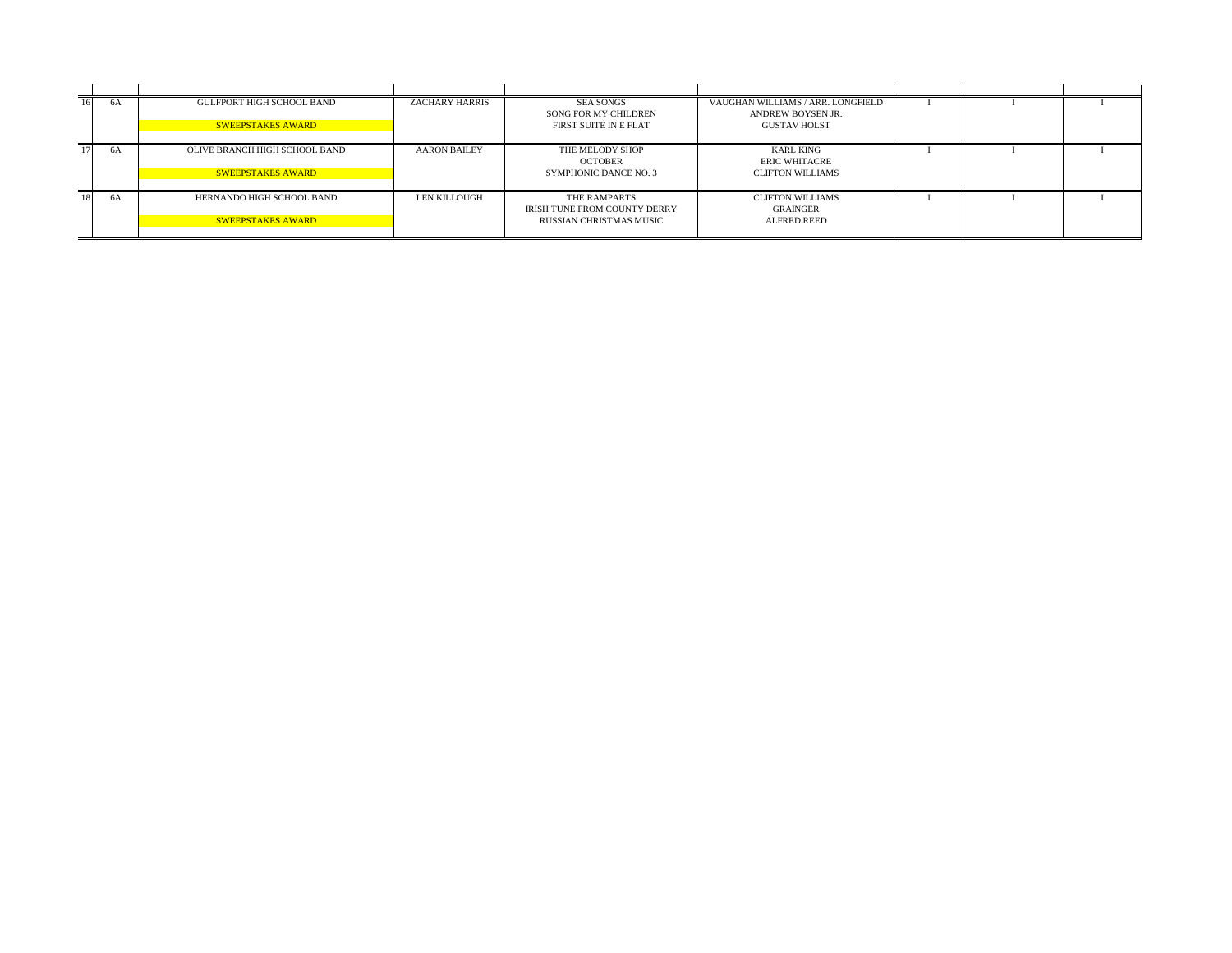| 6A | <b>GULFPORT HIGH SCHOOL BAND</b> | <b>ZACHARY HARRIS</b> | <b>SEA SONGS</b><br>SONG FOR MY CHILDREN            | VAUGHAN WILLIAMS / ARR. LONGFIELD<br>ANDREW BOYSEN JR. |  |  |
|----|----------------------------------|-----------------------|-----------------------------------------------------|--------------------------------------------------------|--|--|
|    | <b>SWEEPSTAKES AWARD</b>         |                       | FIRST SUITE IN E FLAT                               | <b>GUSTAV HOLST</b>                                    |  |  |
| 6A | OLIVE BRANCH HIGH SCHOOL BAND    | <b>AARON BAILEY</b>   | THE MELODY SHOP<br><b>OCTOBER</b>                   | <b>KARL KING</b><br><b>ERIC WHITACRE</b>               |  |  |
|    | <b>SWEEPSTAKES AWARD</b>         |                       | <b>SYMPHONIC DANCE NO. 3</b>                        | <b>CLIFTON WILLIAMS</b>                                |  |  |
| 6A | HERNANDO HIGH SCHOOL BAND        | LEN KILLOUGH          | THE RAMPARTS<br><b>IRISH TUNE FROM COUNTY DERRY</b> | <b>CLIFTON WILLIAMS</b><br><b>GRAINGER</b>             |  |  |
|    | <b>SWEEPSTAKES AWARD</b>         |                       | <b>RUSSIAN CHRISTMAS MUSIC</b>                      | <b>ALFRED REED</b>                                     |  |  |